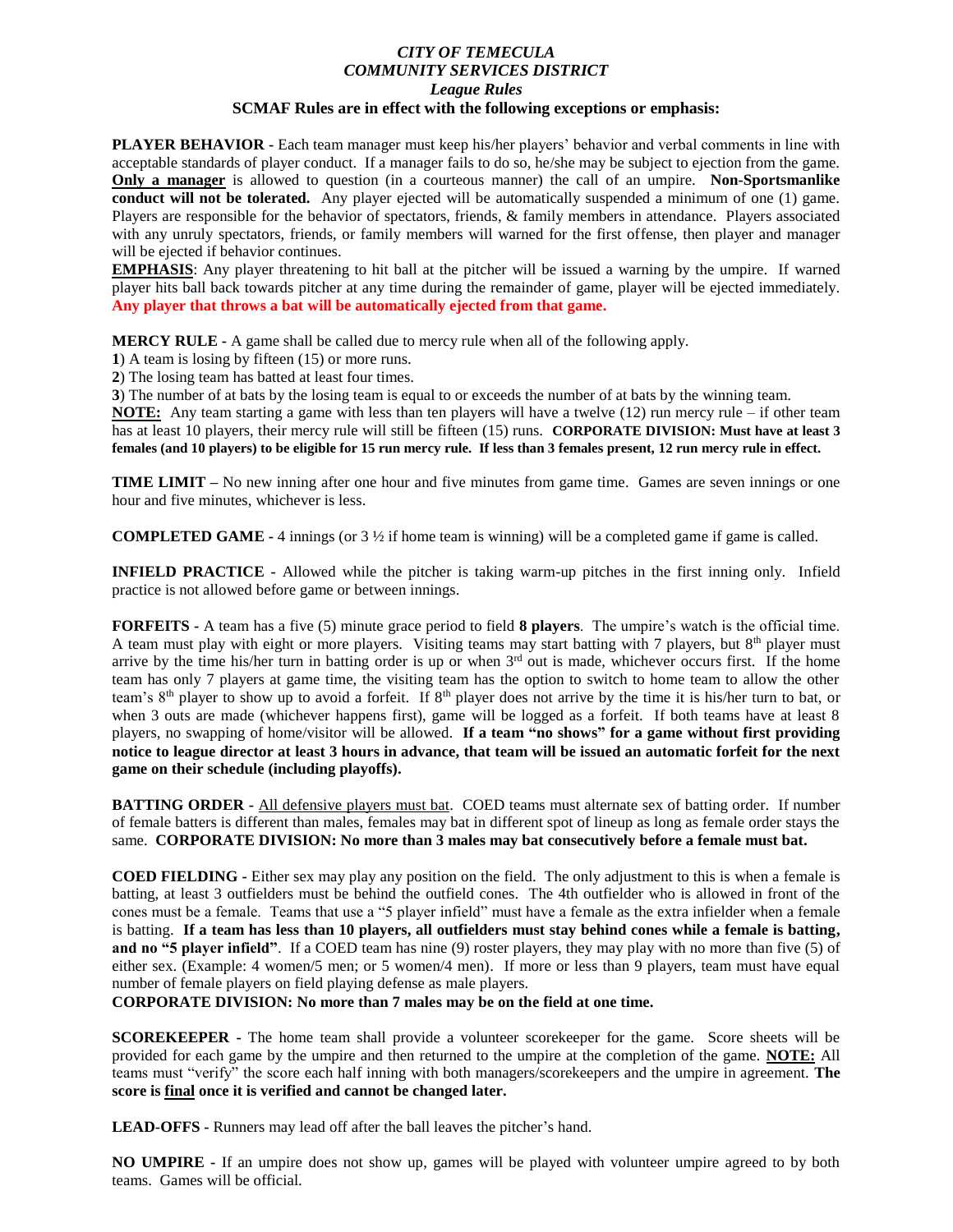## *CITY OF TEMECULA COMMUNITY SERVICES DISTRICT League Rules* **SCMAF Rules are in effect with the following exceptions or emphasis:**

**PLAYER BEHAVIOR -** Each team manager must keep his/her players' behavior and verbal comments in line with acceptable standards of player conduct. If a manager fails to do so, he/she may be subject to ejection from the game. **Only a manager** is allowed to question (in a courteous manner) the call of an umpire. **Non-Sportsmanlike conduct will not be tolerated.** Any player ejected will be automatically suspended a minimum of one (1) game. Players are responsible for the behavior of spectators, friends, & family members in attendance. Players associated with any unruly spectators, friends, or family members will warned for the first offense, then player and manager will be ejected if behavior continues.

**EMPHASIS**: Any player threatening to hit ball at the pitcher will be issued a warning by the umpire. If warned player hits ball back towards pitcher at any time during the remainder of game, player will be ejected immediately. **Any player that throws a bat will be automatically ejected from that game.**

**MERCY RULE -** A game shall be called due to mercy rule when all of the following apply.

**1**) A team is losing by fifteen (15) or more runs.

**2**) The losing team has batted at least four times.

**3**) The number of at bats by the losing team is equal to or exceeds the number of at bats by the winning team.

**NOTE:** Any team starting a game with less than ten players will have a twelve (12) run mercy rule – if other team has at least 10 players, their mercy rule will still be fifteen (15) runs. **CORPORATE DIVISION: Must have at least 3 females (and 10 players) to be eligible for 15 run mercy rule. If less than 3 females present, 12 run mercy rule in effect.**

**TIME LIMIT –** No new inning after one hour and five minutes from game time. Games are seven innings or one hour and five minutes, whichever is less.

**COMPLETED GAME - 4 innings (or**  $3\frac{1}{2}$  **if home team is winning) will be a completed game if game is called.** 

**INFIELD PRACTICE -** Allowed while the pitcher is taking warm-up pitches in the first inning only. Infield practice is not allowed before game or between innings.

**FORFEITS -** A team has a five (5) minute grace period to field **8 players**. The umpire's watch is the official time. A team must play with eight or more players. Visiting teams may start batting with 7 players, but  $8<sup>th</sup>$  player must arrive by the time his/her turn in batting order is up or when  $3<sup>rd</sup>$  out is made, whichever occurs first. If the home team has only 7 players at game time, the visiting team has the option to switch to home team to allow the other team's 8<sup>th</sup> player to show up to avoid a forfeit. If 8<sup>th</sup> player does not arrive by the time it is his/her turn to bat, or when 3 outs are made (whichever happens first), game will be logged as a forfeit. If both teams have at least 8 players, no swapping of home/visitor will be allowed. **If a team "no shows" for a game without first providing notice to league director at least 3 hours in advance, that team will be issued an automatic forfeit for the next game on their schedule (including playoffs).** 

**BATTING ORDER -** All defensive players must bat. COED teams must alternate sex of batting order. If number of female batters is different than males, females may bat in different spot of lineup as long as female order stays the same. **CORPORATE DIVISION: No more than 3 males may bat consecutively before a female must bat.**

**COED FIELDING -** Either sex may play any position on the field. The only adjustment to this is when a female is batting, at least 3 outfielders must be behind the outfield cones. The 4th outfielder who is allowed in front of the cones must be a female. Teams that use a "5 player infield" must have a female as the extra infielder when a female is batting. **If a team has less than 10 players, all outfielders must stay behind cones while a female is batting, and no "5 player infield"**. If a COED team has nine (9) roster players, they may play with no more than five (5) of either sex. (Example: 4 women/5 men; or 5 women/4 men). If more or less than 9 players, team must have equal number of female players on field playing defense as male players.

**CORPORATE DIVISION: No more than 7 males may be on the field at one time.**

**SCOREKEEPER -** The home team shall provide a volunteer scorekeeper for the game. Score sheets will be provided for each game by the umpire and then returned to the umpire at the completion of the game. **NOTE:** All teams must "verify" the score each half inning with both managers/scorekeepers and the umpire in agreement. **The score is final once it is verified and cannot be changed later.**

**LEAD-OFFS -** Runners may lead off after the ball leaves the pitcher's hand.

**NO UMPIRE -** If an umpire does not show up, games will be played with volunteer umpire agreed to by both teams. Games will be official.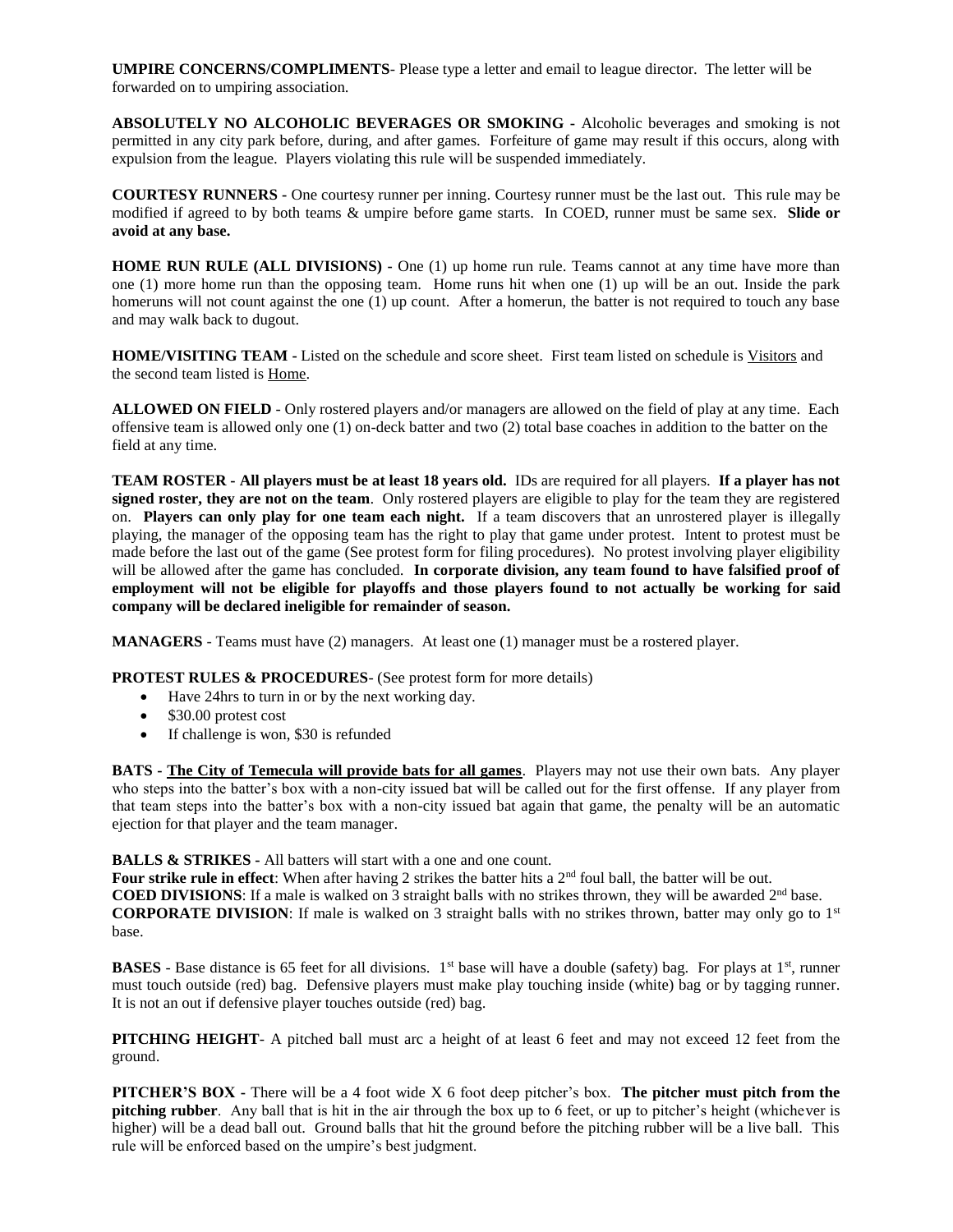**UMPIRE CONCERNS/COMPLIMENTS**- Please type a letter and email to league director. The letter will be forwarded on to umpiring association.

**ABSOLUTELY NO ALCOHOLIC BEVERAGES OR SMOKING -** Alcoholic beverages and smoking is not permitted in any city park before, during, and after games. Forfeiture of game may result if this occurs, along with expulsion from the league. Players violating this rule will be suspended immediately.

**COURTESY RUNNERS -** One courtesy runner per inning. Courtesy runner must be the last out. This rule may be modified if agreed to by both teams & umpire before game starts. In COED, runner must be same sex. **Slide or avoid at any base.**

**HOME RUN RULE (ALL DIVISIONS) -** One (1) up home run rule. Teams cannot at any time have more than one (1) more home run than the opposing team. Home runs hit when one (1) up will be an out. Inside the park homeruns will not count against the one (1) up count. After a homerun, the batter is not required to touch any base and may walk back to dugout.

**HOME/VISITING TEAM -** Listed on the schedule and score sheet. First team listed on schedule is Visitors and the second team listed is Home.

**ALLOWED ON FIELD** - Only rostered players and/or managers are allowed on the field of play at any time. Each offensive team is allowed only one (1) on-deck batter and two (2) total base coaches in addition to the batter on the field at any time.

**TEAM ROSTER - All players must be at least 18 years old.** IDs are required for all players. **If a player has not signed roster, they are not on the team**. Only rostered players are eligible to play for the team they are registered on. **Players can only play for one team each night.** If a team discovers that an unrostered player is illegally playing, the manager of the opposing team has the right to play that game under protest. Intent to protest must be made before the last out of the game (See protest form for filing procedures). No protest involving player eligibility will be allowed after the game has concluded. **In corporate division, any team found to have falsified proof of employment will not be eligible for playoffs and those players found to not actually be working for said company will be declared ineligible for remainder of season.**

**MANAGERS** - Teams must have (2) managers. At least one (1) manager must be a rostered player.

**PROTEST RULES & PROCEDURES**- (See protest form for more details)

- Have 24hrs to turn in or by the next working day.
- \$30.00 protest cost
- If challenge is won, \$30 is refunded

**BATS - The City of Temecula will provide bats for all games**. Players may not use their own bats. Any player who steps into the batter's box with a non-city issued bat will be called out for the first offense. If any player from that team steps into the batter's box with a non-city issued bat again that game, the penalty will be an automatic ejection for that player and the team manager.

**BALLS & STRIKES -** All batters will start with a one and one count.

**Four strike rule in effect**: When after having 2 strikes the batter hits a 2<sup>nd</sup> foul ball, the batter will be out. **COED DIVISIONS:** If a male is walked on 3 straight balls with no strikes thrown, they will be awarded 2<sup>nd</sup> base. **CORPORATE DIVISION**: If male is walked on 3 straight balls with no strikes thrown, batter may only go to 1st base.

**BASES** - Base distance is 65 feet for all divisions. 1<sup>st</sup> base will have a double (safety) bag. For plays at 1<sup>st</sup>, runner must touch outside (red) bag. Defensive players must make play touching inside (white) bag or by tagging runner. It is not an out if defensive player touches outside (red) bag.

**PITCHING HEIGHT**- A pitched ball must arc a height of at least 6 feet and may not exceed 12 feet from the ground.

**PITCHER'S BOX -** There will be a 4 foot wide X 6 foot deep pitcher's box. **The pitcher must pitch from the pitching rubber**. Any ball that is hit in the air through the box up to 6 feet, or up to pitcher's height (whichever is higher) will be a dead ball out. Ground balls that hit the ground before the pitching rubber will be a live ball. This rule will be enforced based on the umpire's best judgment.